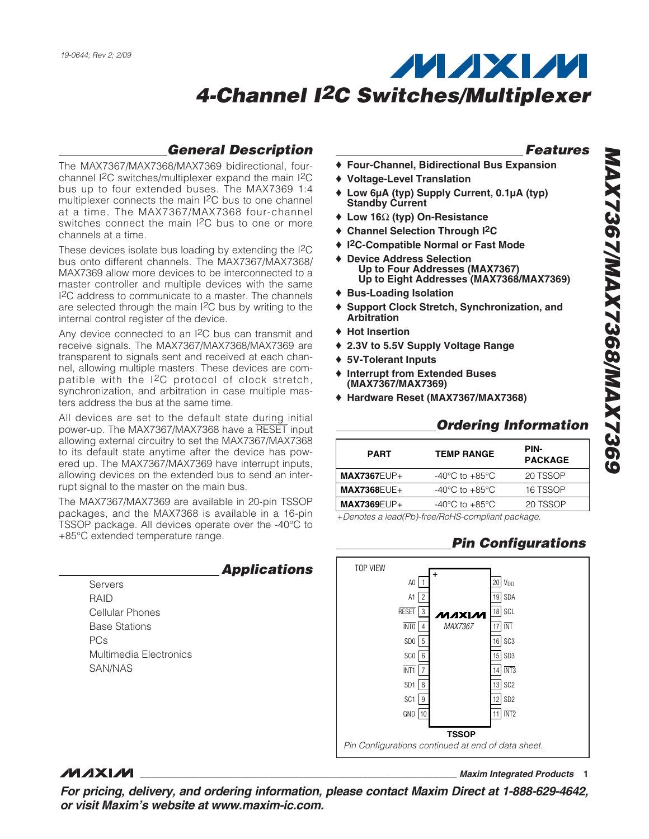## **General Description**

The MAX7367/MAX7368/MAX7369 bidirectional, fourchannel I2C switches/multiplexer expand the main I2C bus up to four extended buses. The MAX7369 1:4 multiplexer connects the main I2C bus to one channel at a time. The MAX7367/MAX7368 four-channel switches connect the main I2C bus to one or more channels at a time.

These devices isolate bus loading by extending the I2C bus onto different channels. The MAX7367/MAX7368/ MAX7369 allow more devices to be interconnected to a master controller and multiple devices with the same I2C address to communicate to a master. The channels are selected through the main I2C bus by writing to the internal control register of the device.

Any device connected to an I<sup>2</sup>C bus can transmit and receive signals. The MAX7367/MAX7368/MAX7369 are transparent to signals sent and received at each channel, allowing multiple masters. These devices are compatible with the I2C protocol of clock stretch, synchronization, and arbitration in case multiple masters address the bus at the same time.

All devices are set to the default state during initial power-up. The MAX7367/MAX7368 have a RESET input allowing external circuitry to set the MAX7367/MAX7368 to its default state anytime after the device has powered up. The MAX7367/MAX7369 have interrupt inputs, allowing devices on the extended bus to send an interrupt signal to the master on the main bus.

The MAX7367/MAX7369 are available in 20-pin TSSOP packages, and the MAX7368 is available in a 16-pin TSSOP package. All devices operate over the -40°C to +85°C extended temperature range.

|                        | <b>Applications</b> |
|------------------------|---------------------|
| Servers                |                     |
| RAID                   |                     |
| Cellular Phones        |                     |
| <b>Base Stations</b>   |                     |
| PCs                    |                     |
| Multimedia Flectronics |                     |
| SAN/NAS                |                     |
|                        |                     |
|                        |                     |

### **Features**

- ♦ **Four-Channel, Bidirectional Bus Expansion**
- ♦ **Voltage-Level Translation**
- ♦ **Low 6µA (typ) Supply Current, 0.1µA (typ) Standby Current**
- ♦ **Low 16**Ω **(typ) On-Resistance**
- ♦ **Channel Selection Through I2C**
- ♦ **I2C-Compatible Normal or Fast Mode**
- ♦ **Device Address Selection Up to Four Addresses (MAX7367) Up to Eight Addresses (MAX7368/MAX7369)**
- ♦ **Bus-Loading Isolation**
- ♦ **Support Clock Stretch, Synchronization, and Arbitration**
- ♦ **Hot Insertion**
- ♦ **2.3V to 5.5V Supply Voltage Range**
- ♦ **5V-Tolerant Inputs**
- ♦ **Interrupt from Extended Buses (MAX7367/MAX7369)**
- ♦ **Hardware Reset (MAX7367/MAX7368)**

### **Ordering Information**

| <b>PART</b>        | <b>TEMP RANGE</b>                  | PIN-<br><b>PACKAGE</b> |
|--------------------|------------------------------------|------------------------|
| $MAX7367EUP+$      | $-40^{\circ}$ C to $+85^{\circ}$ C | 20 TSSOP               |
| <b>MAX7368EUE+</b> | $-40^{\circ}$ C to $+85^{\circ}$ C | 16 TSSOP               |
| $MAX7369EUP+$      | $-40^{\circ}$ C to $+85^{\circ}$ C | 20 TSSOP               |

+Denotes a lead(Pb)-free/RoHS-compliant package.

## **Pin Configurations**



### **MAXIM**

**\_\_\_\_\_\_\_\_\_\_\_\_\_\_\_\_\_\_\_\_\_\_\_\_\_\_\_\_\_\_\_\_\_\_\_\_\_\_\_\_\_\_\_\_\_\_\_\_\_\_\_\_\_\_\_\_\_\_\_\_\_\_\_\_ Maxim Integrated Products 1**

**For pricing, delivery, and ordering information, please contact Maxim Direct at 1-888-629-4642, or visit Maxim's website at www.maxim-ic.com.**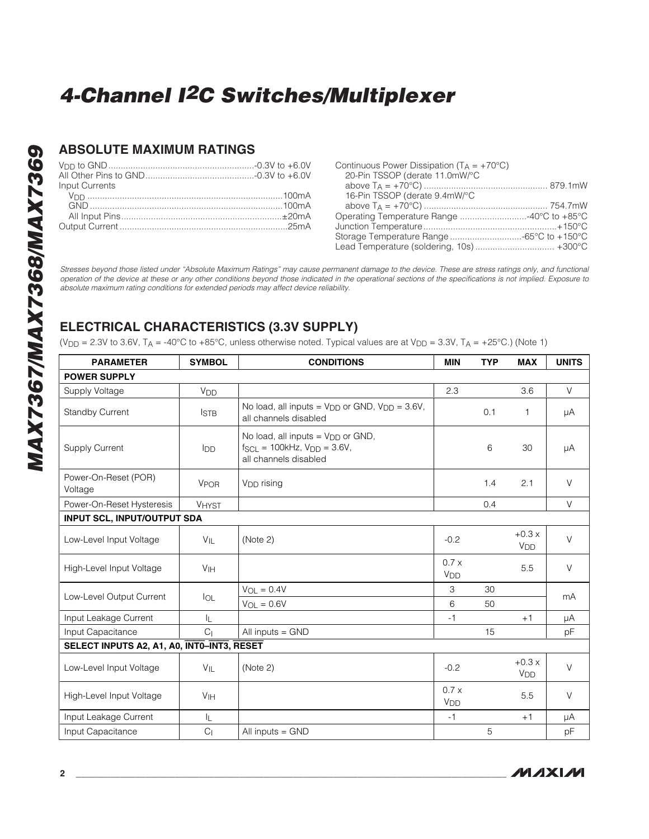### **ABSOLUTE MAXIMUM RATINGS**

|                                                                                                                                                                                                                                                                     | Cor                 |
|---------------------------------------------------------------------------------------------------------------------------------------------------------------------------------------------------------------------------------------------------------------------|---------------------|
|                                                                                                                                                                                                                                                                     | 2                   |
| Input Currents                                                                                                                                                                                                                                                      | a                   |
|                                                                                                                                                                                                                                                                     | $\overline{1}$      |
|                                                                                                                                                                                                                                                                     | a                   |
|                                                                                                                                                                                                                                                                     | Op <sub>6</sub>     |
|                                                                                                                                                                                                                                                                     | Jun<br>Stor<br>l ea |
| Stresses beyond those listed under "Absolute Maximum Ratings" may cause permane<br>operation of the device at these or any other conditions beyond those indicated in the<br>absolute maximum rating conditions for extended periods may affect device reliability. |                     |

| Continuous Power Dissipation ( $T_A = +70^{\circ}C$ ) |  |
|-------------------------------------------------------|--|
| 20-Pin TSSOP (derate 11.0mW/°C                        |  |
|                                                       |  |
| 16-Pin TSSOP (derate 9.4mW/°C                         |  |
|                                                       |  |
|                                                       |  |
|                                                       |  |
|                                                       |  |
|                                                       |  |

Stresses beyond those listed under "Absolute Maximum Ratings" may cause permanent damage to the device. These are stress ratings only, and functional operation of the device at these or any other conditions beyond those indicated in the operational sections of the specifications is not implied. Exposure to absolute maximum rating conditions for extended periods may affe

## **ELECTRICAL CHARACTERISTICS (3.3V SUPPLY)**

(V<sub>DD</sub> = 2.3V to 3.6V, T<sub>A</sub> = -40°C to +85°C, unless otherwise noted. Typical values are at V<sub>DD</sub> = 3.3V, T<sub>A</sub> = +25°C.) (Note 1)

| <b>PARAMETER</b>                           | <b>SYMBOL</b>          | <b>CONDITIONS</b>                                                                                         | <b>MIN</b>              | <b>TYP</b> | <b>MAX</b>                       | <b>UNITS</b> |  |
|--------------------------------------------|------------------------|-----------------------------------------------------------------------------------------------------------|-------------------------|------------|----------------------------------|--------------|--|
| <b>POWER SUPPLY</b>                        |                        |                                                                                                           |                         |            |                                  |              |  |
| Supply Voltage                             | V <sub>DD</sub>        |                                                                                                           | 2.3                     |            | 3.6                              | $\vee$       |  |
| <b>Standby Current</b>                     | <b>ISTB</b>            | No load, all inputs = $V_{DD}$ or GND, $V_{DD}$ = 3.6V,<br>all channels disabled                          |                         | 0.1        | 1                                | μA           |  |
| <b>Supply Current</b>                      | lop                    | No load, all inputs = $V_{DD}$ or GND,<br>$f_{SCL} = 100kHz$ , $V_{DD} = 3.6V$ ,<br>all channels disabled |                         | 6          | 30                               | μA           |  |
| Power-On-Reset (POR)<br>Voltage            | <b>V<sub>POR</sub></b> | V <sub>DD</sub> rising                                                                                    |                         | 1.4        | 2.1                              | $\vee$       |  |
| Power-On-Reset Hysteresis                  | <b>VHYST</b>           |                                                                                                           |                         | 0.4        |                                  | V            |  |
| <b>INPUT SCL, INPUT/OUTPUT SDA</b>         |                        |                                                                                                           |                         |            |                                  |              |  |
| Low-Level Input Voltage                    | $V_{\parallel L}$      | (Note 2)                                                                                                  | $-0.2$                  |            | $+0.3x$<br>V <sub>DD</sub>       | $\vee$       |  |
| High-Level Input Voltage                   | V <sub>IH</sub>        |                                                                                                           | 0.7x<br>V <sub>DD</sub> |            | 5.5                              | $\vee$       |  |
| Low-Level Output Current                   |                        | $V_{OL} = 0.4V$                                                                                           | 3                       | 30         |                                  | mA           |  |
|                                            | $I_{OL}$               | $V_{OL} = 0.6V$                                                                                           | 6                       | 50         |                                  |              |  |
| Input Leakage Current                      | IL.                    |                                                                                                           | $-1$                    |            | $+1$                             | μA           |  |
| Input Capacitance                          | C <sub>1</sub>         | All inputs $=$ GND                                                                                        |                         | 15         |                                  | рF           |  |
| SELECT INPUTS A2, A1, A0, INTO-INT3, RESET |                        |                                                                                                           |                         |            |                                  |              |  |
| Low-Level Input Voltage                    | $V_{\parallel}$        | (Note 2)                                                                                                  | $-0.2$                  |            | $+0.3x$<br><b>V<sub>DD</sub></b> | $\vee$       |  |
| High-Level Input Voltage                   | V <sub>IH</sub>        |                                                                                                           | 0.7x<br>V <sub>DD</sub> |            | 5.5                              | $\vee$       |  |
| Input Leakage Current                      | IL.                    |                                                                                                           | $-1$                    |            | $+1$                             | μA           |  |
| Input Capacitance                          | C <sub>1</sub>         | All inputs = GND                                                                                          |                         | 5          |                                  | pF           |  |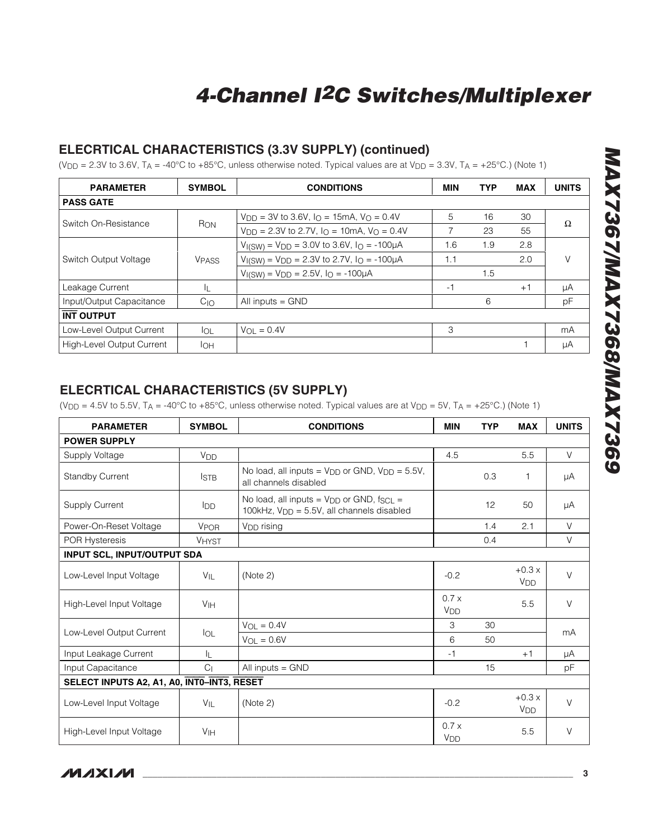### **ELECRTICAL CHARACTERISTICS (3.3V SUPPLY) (continued)**

(V<sub>DD</sub> = 2.3V to 3.6V, T<sub>A</sub> = -40°C to +85°C, unless otherwise noted. Typical values are at V<sub>DD</sub> = 3.3V, T<sub>A</sub> = +25°C.) (Note 1)

| <b>SYMBOL</b> | <b>CONDITIONS</b>                                                                     | <b>MIN</b> | <b>TYP</b> | <b>MAX</b> | <b>UNITS</b> |  |
|---------------|---------------------------------------------------------------------------------------|------------|------------|------------|--------------|--|
|               |                                                                                       |            |            |            |              |  |
|               | $V_{\text{DD}} = 3V$ to 3.6V, $I_{\text{O}} = 15$ mA, $V_{\text{O}} = 0.4V$           | 5          | 16         | 30         |              |  |
|               | $V_{\text{DD}} = 2.3V$ to 2.7V, $I_{\text{O}} = 10 \text{mA}$ , $V_{\text{O}} = 0.4V$ | 7          | 23         | 55         | Ω            |  |
|               | $V_{I(SW)} = V_{D\bar{D}} = 3.0V$ to 3.6V, $I_{\Omega} = -100\mu A$                   | 1.6        | 1.9        | 2.8        |              |  |
| <b>VPASS</b>  | $V_{I(SW)} = V_{DD} = 2.3V$ to 2.7V, $I_{O} = -100\mu A$                              | 1.1        |            | 2.0        | V            |  |
|               | $V_{I(SW)} = V_{DD} = 2.5V$ , $I_{O} = -100\mu A$                                     |            | 1.5        |            |              |  |
| IL.           |                                                                                       | -1         |            | $+1$       | μA           |  |
| $C_{1O}$      | All inputs $=$ GND                                                                    |            | 6          |            | рF           |  |
|               |                                                                                       |            |            |            |              |  |
| lol.          | $V_{\Omega I} = 0.4V$                                                                 | 3          |            |            | mA           |  |
| Iон           |                                                                                       |            |            |            | μA           |  |
|               | R <sub>ON</sub>                                                                       |            |            |            |              |  |

### **ELECRTICAL CHARACTERISTICS (5V SUPPLY)**

(V<sub>DD</sub> = 4.5V to 5.5V, T<sub>A</sub> = -40°C to +85°C, unless otherwise noted. Typical values are at V<sub>DD</sub> = 5V, T<sub>A</sub> = +25°C.) (Note 1)

| <b>PARAMETER</b>                           | <b>SYMBOL</b>         | <b>CONDITIONS</b>                                                                                           | <b>MIN</b>                    | <b>TYP</b> | <b>MAX</b>                       | <b>UNITS</b> |  |
|--------------------------------------------|-----------------------|-------------------------------------------------------------------------------------------------------------|-------------------------------|------------|----------------------------------|--------------|--|
| <b>POWER SUPPLY</b>                        |                       |                                                                                                             |                               |            |                                  |              |  |
| Supply Voltage                             | <b>V<sub>DD</sub></b> |                                                                                                             | 4.5                           |            | 5.5                              | $\vee$       |  |
| <b>Standby Current</b>                     | <b>ISTB</b>           | No load, all inputs = $V_{DD}$ or GND, $V_{DD} = 5.5V$ ,<br>all channels disabled                           |                               | 0.3        | 1                                | μA           |  |
| Supply Current                             | <b>I</b> DD           | No load, all inputs = $V_{DD}$ or GND, $f_{SCL}$ =<br>100kHz, V <sub>DD</sub> = 5.5V, all channels disabled |                               | 12         | 50                               | μA           |  |
| Power-On-Reset Voltage                     | <b>VPOR</b>           | V <sub>DD</sub> rising                                                                                      |                               | 1.4        | 2.1                              | V            |  |
| POR Hysteresis                             | <b>VHYST</b>          |                                                                                                             |                               | 0.4        |                                  | V            |  |
| <b>INPUT SCL, INPUT/OUTPUT SDA</b>         |                       |                                                                                                             |                               |            |                                  |              |  |
| Low-Level Input Voltage                    | VIL                   | (Note 2)                                                                                                    | $-0.2$                        |            | $+0.3x$<br><b>V<sub>DD</sub></b> | $\vee$       |  |
| High-Level Input Voltage                   | V <sub>IH</sub>       |                                                                                                             | 0.7x<br><b>V<sub>DD</sub></b> |            | 5.5                              | V            |  |
|                                            |                       | $V_{OL} = 0.4V$                                                                                             | 3                             | 30         |                                  |              |  |
| Low-Level Output Current                   | IOL                   | $V_{OL} = 0.6V$                                                                                             | 6                             | 50         |                                  | mA           |  |
| Input Leakage Current                      | IL.                   |                                                                                                             | $-1$                          |            | $+1$                             | μA           |  |
| Input Capacitance                          | C <sub>1</sub>        | All inputs $=$ GND                                                                                          |                               | 15         |                                  | рF           |  |
| SELECT INPUTS A2, A1, A0, INTO-INT3, RESET |                       |                                                                                                             |                               |            |                                  |              |  |
| Low-Level Input Voltage                    | $V_{\mathsf{IL}}$     | (Note 2)                                                                                                    | $-0.2$                        |            | $+0.3x$<br><b>V<sub>DD</sub></b> | $\vee$       |  |
| High-Level Input Voltage                   | V <sub>IH</sub>       |                                                                                                             | 0.7x<br><b>V<sub>DD</sub></b> |            | 5.5                              | V            |  |

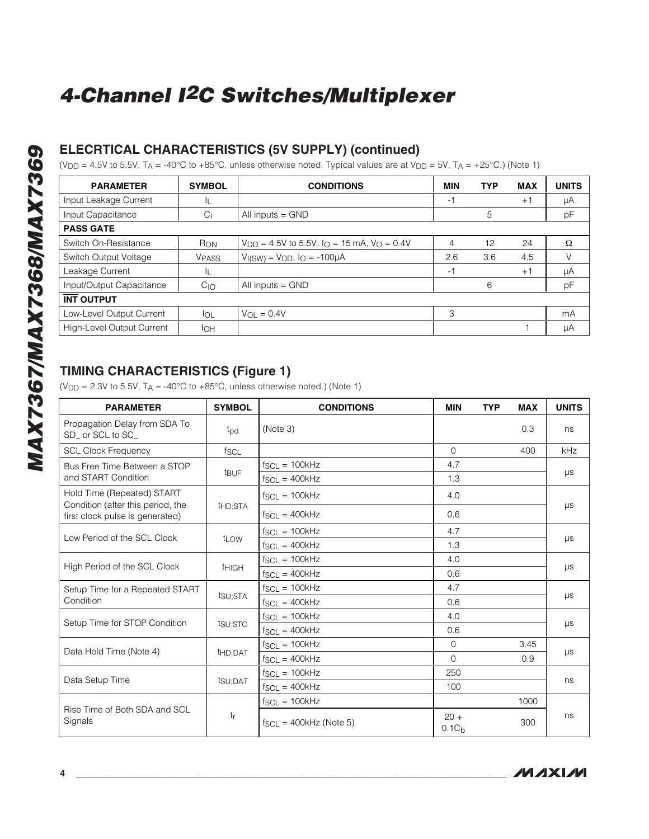### **ELECRTICAL CHARACTERISTICS (5V SUPPLY) (continued)**

(V<sub>DD</sub> = 4.5V to 5.5V, T<sub>A</sub> = -40°C to +85°C, unless otherwise noted. Typical values are at V<sub>DD</sub> = 5V, T<sub>A</sub> = +25°C.) (Note 1)

| <b>PARAMETER</b>          | <b>SYMBOL</b> | <b>CONDITIONS</b>                                    | <b>MIN</b> | <b>TYP</b> | <b>MAX</b> | <b>UNITS</b> |
|---------------------------|---------------|------------------------------------------------------|------------|------------|------------|--------------|
| Input Leakage Current     | IL            |                                                      | -1         |            | $+1$       | μA           |
| Input Capacitance         | $\mathsf{C}$  | All inputs $=$ GND                                   |            | 5          |            | pF           |
| <b>PASS GATE</b>          |               |                                                      |            |            |            |              |
| Switch On-Resistance      | RON           | $V_{DD} = 4.5V$ to 5.5V, $I_O = 15$ mA, $V_O = 0.4V$ | 4          | 12         | 24         | Ω            |
| Switch Output Voltage     | <b>VPASS</b>  | $V_I(SW) = VDD$ , $I_O = -100\mu A$                  | 2.6        | 3.6        | 4.5        | V            |
| Leakage Current           | IL            |                                                      | -1         |            | $+1$       | μA           |
| Input/Output Capacitance  | $C_{1O}$      | All inputs $=$ GND                                   |            | 6          |            | pF           |
| <b>INT OUTPUT</b>         |               |                                                      |            |            |            |              |
| Low-Level Output Current  | lol.          | $V_{\Omega} = 0.4V$                                  | 3          |            |            | mA           |
| High-Level Output Current | Iон           |                                                      |            |            |            | μA           |

## **TIMING CHARACTERISTICS (Figure 1)**

( $V_{\text{DD}}$  = 2.3V to 5.5V, T<sub>A</sub> = -40°C to +85°C, unless otherwise noted.) (Note 1)

| <b>PARAMETER</b>                                                | <b>SYMBOL</b>        | <b>CONDITIONS</b>                 | <b>MIN</b>                  | <b>TYP</b> | <b>MAX</b> | <b>UNITS</b> |
|-----------------------------------------------------------------|----------------------|-----------------------------------|-----------------------------|------------|------------|--------------|
| Propagation Delay from SDA To<br>SD_ or SCL to SC_              | t <sub>pd</sub>      | (Note 3)                          |                             |            | 0.3        | ns           |
| <b>SCL Clock Frequency</b>                                      | fscl                 |                                   | $\Omega$                    |            | 400        | kHz          |
| Bus Free Time Between a STOP                                    |                      | $f_{SCL} = 100kHz$                | 4.7                         |            |            |              |
| and START Condition                                             | t <sub>BUF</sub>     | $f_{\text{SCI}} = 400 \text{kHz}$ | 1.3                         |            |            | $\mu s$      |
| Hold Time (Repeated) START<br>Condition (after this period, the | t <sub>HD</sub> ;STA | $f_{SCL} = 100kHz$                | 4.0                         |            |            | $\mu s$      |
| first clock pulse is generated)                                 |                      | $f_{SCL} = 400kHz$                | 0.6                         |            |            |              |
|                                                                 |                      | $f_{SCL} = 100kHz$                | 4.7                         |            |            |              |
| Low Period of the SCL Clock                                     | t <sub>LOW</sub>     | $f_{SCL} = 400kHz$                | 1.3                         |            |            | $\mu s$      |
|                                                                 | <sup>t</sup> HIGH    | $f_{SCL} = 100kHz$                | 4.0                         |            |            | $\mu s$      |
| High Period of the SCL Clock                                    |                      | $f_{SCL} = 400kHz$                | 0.6                         |            |            |              |
| Setup Time for a Repeated START                                 |                      | $f_{SCL} = 100kHz$                | 4.7                         |            |            |              |
| Condition                                                       | tsu;sta              | $f_{SCL} = 400kHz$                | 0.6                         |            |            | $\mu s$      |
| Setup Time for STOP Condition                                   | tsu;sto              | $f_{SCL} = 100kHz$                | 4.0                         |            |            | $\mu s$      |
|                                                                 |                      | $f_{SCL} = 400k$ Hz               | 0.6                         |            |            |              |
| Data Hold Time (Note 4)                                         |                      | $f_{SCL} = 100kHz$                | $\mathbf 0$                 |            | 3.45       |              |
|                                                                 | t <sub>HD</sub> ;DAT | $f_{SCL} = 400kHz$                | $\Omega$                    |            | 0.9        | $\mu s$      |
| Data Setup Time                                                 |                      | $f_{SCL} = 100kHz$                | 250                         |            |            |              |
|                                                                 | t <sub>SU:DAT</sub>  | $f_{SCL} = 400kHz$                | 100                         |            |            | ns           |
|                                                                 |                      | $f_{SCL} = 100kHz$                |                             |            | 1000       |              |
| Rise Time of Both SDA and SCL<br>Signals                        | tr                   | $f_{SCL} = 400kHz$ (Note 5)       | $20 +$<br>0.1C <sub>b</sub> |            | 300        | ns           |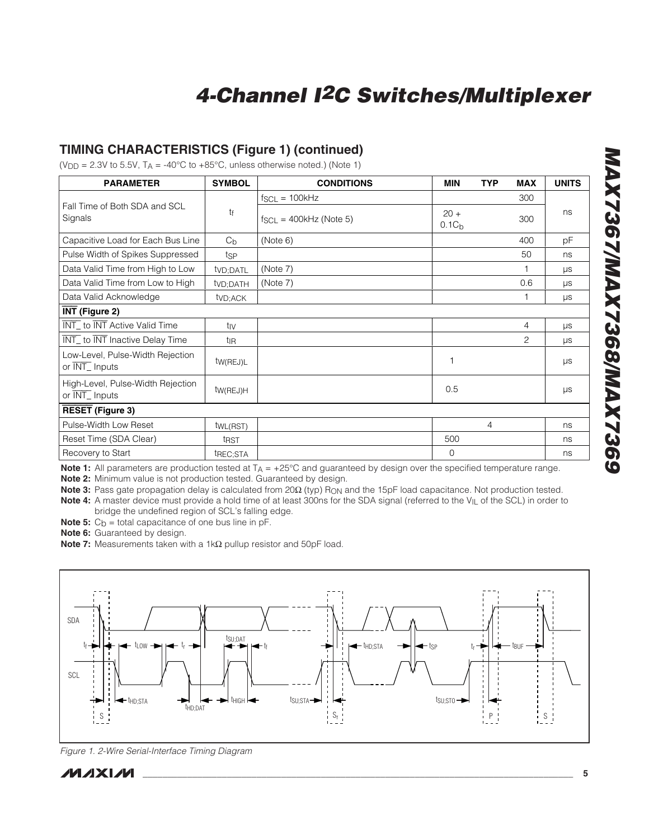### **TIMING CHARACTERISTICS (Figure 1) (continued)**

( $V_{\text{DD}}$  = 2.3V to 5.5V, T<sub>A</sub> = -40°C to +85°C, unless otherwise noted.) (Note 1)

| <b>PARAMETER</b>                                                       | <b>SYMBOL</b>         | <b>CONDITIONS</b>           | <b>MIN</b>                  | <b>TYP</b> | <b>MAX</b> | <b>UNITS</b> |
|------------------------------------------------------------------------|-----------------------|-----------------------------|-----------------------------|------------|------------|--------------|
|                                                                        |                       | $f_{SCL} = 100kHz$          |                             |            | 300        |              |
| Fall Time of Both SDA and SCL<br>Signals                               | tf                    | $f_{SCL} = 400kHz$ (Note 5) | $20 +$<br>0.1C <sub>b</sub> |            | 300        | ns           |
| Capacitive Load for Each Bus Line                                      | $C_{b}$               | (Note 6)                    |                             |            | 400        | pF           |
| Pulse Width of Spikes Suppressed                                       | tsp                   |                             |                             |            | 50         | ns           |
| Data Valid Time from High to Low                                       | tv <sub>D</sub> ;DATL | (Note 7)                    |                             |            |            | $\mu s$      |
| Data Valid Time from Low to High                                       | tv <sub>D</sub> ;DATH | (Note 7)                    |                             |            | 0.6        | $\mu s$      |
| Data Valid Acknowledge                                                 | tv <sub>D</sub> ;ACK  |                             |                             |            |            | $\mu s$      |
| INT (Figure 2)                                                         |                       |                             |                             |            |            |              |
| <b>INT_</b> to <b>INT</b> Active Valid Time                            | tiv                   |                             |                             |            | 4          | $\mu s$      |
| INT_ to INT Inactive Delay Time                                        | t <sub>IR</sub>       |                             |                             |            | 2          | $\mu s$      |
| Low-Level, Pulse-Width Rejection<br>or $\overline{\text{INT}}$ Inputs  | tw(REJ)L              |                             |                             |            |            | $\mu s$      |
| High-Level, Pulse-Width Rejection<br>or $\overline{\text{INT}}$ Inputs | tw(REJ)H              |                             | 0.5                         |            |            | $\mu s$      |
| <b>RESET (Figure 3)</b>                                                |                       |                             |                             |            |            |              |
| Pulse-Width Low Reset                                                  | tw <sub>L(RST)</sub>  |                             |                             | 4          |            | ns           |
| Reset Time (SDA Clear)                                                 | t <sub>RST</sub>      |                             | 500                         |            |            | ns           |
| Recovery to Start                                                      | t <sub>REC;</sub> STA |                             | $\mathbf 0$                 |            |            | ns           |

**Note 1:** All parameters are production tested at T<sub>A</sub> = +25°C and guaranteed by design over the specified temperature range.

**Note 2:** Minimum value is not production tested. Guaranteed by design.

**Note 3:** Pass gate propagation delay is calculated from 20Ω (typ) R<sub>ON</sub> and the 15pF load capacitance. Not production tested. **Note 4:** A master device must provide a hold time of at least 300ns for the SDA signal (referred to the VIL of the SCL) in order to bridge the undefined region of SCL's falling edge.

**Note 5:**  $C_b$  = total capacitance of one bus line in pF.

**Note 6:** Guaranteed by design.

Note 7: Measurements taken with a 1kΩ pullup resistor and 50pF load.



Figure 1. 2-Wire Serial-Interface Timing Diagram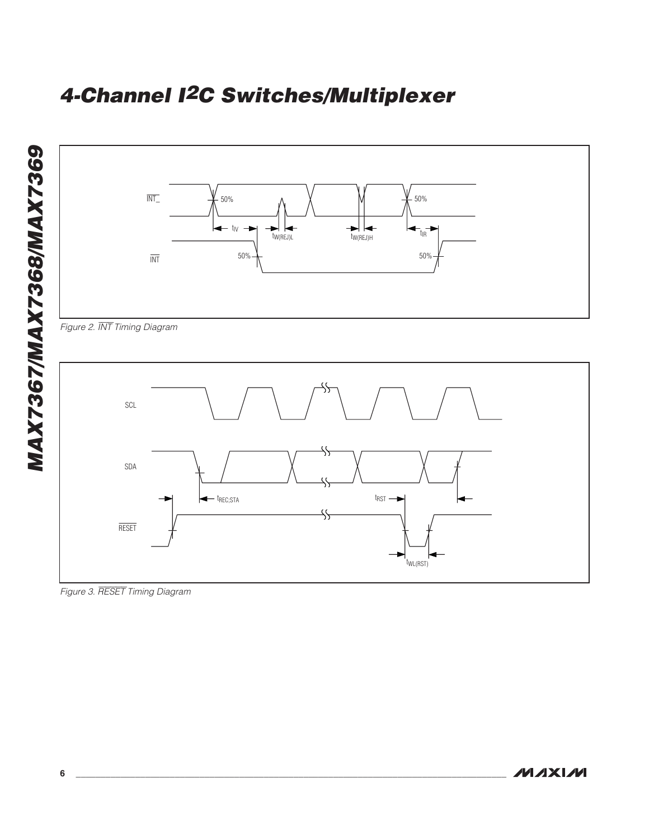

**MAXIM** 

Figure 3. RESET Timing Diagram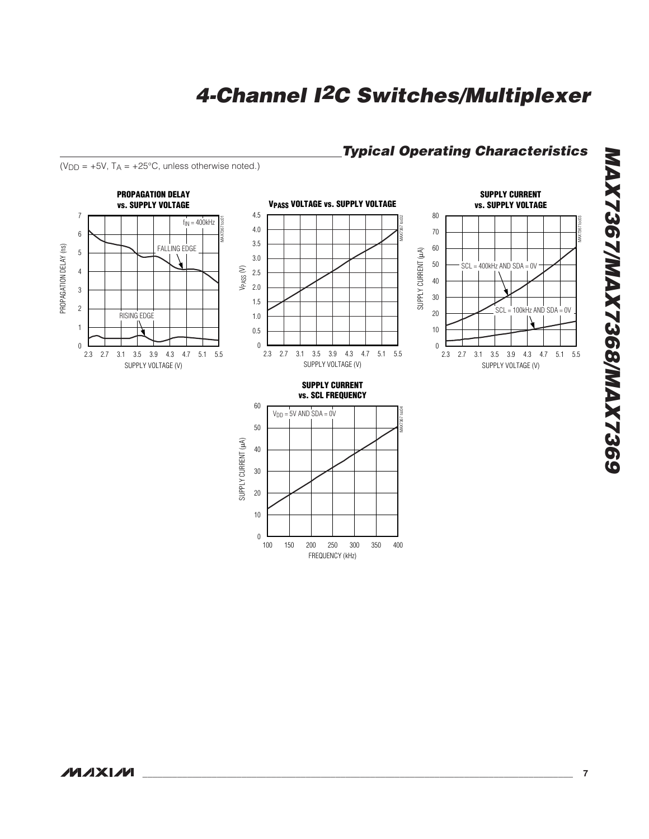### **Typical Operating Characteristics**



 $(V_{DD} = +5V$ ,  $T_A = +25^{\circ}C$ , unless otherwise noted.)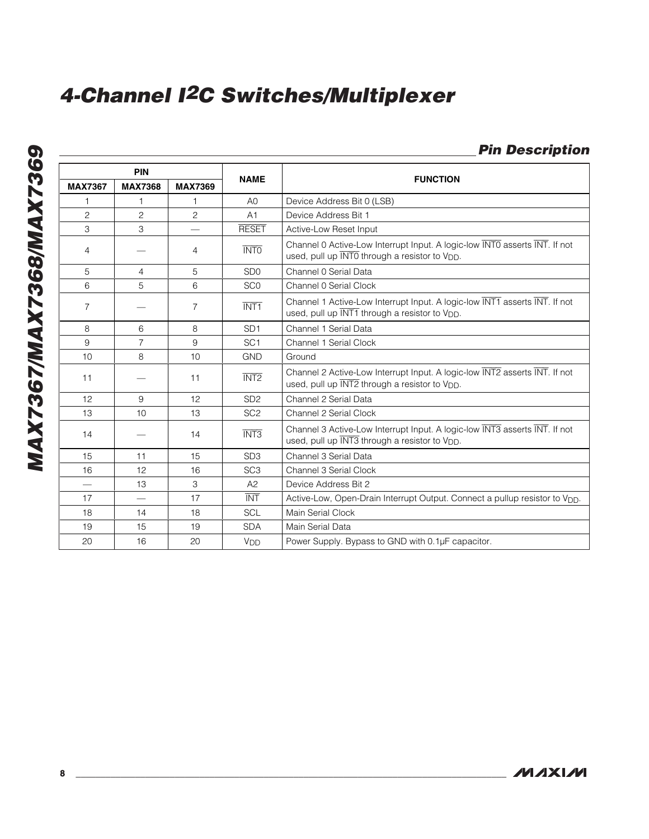## **Pin Description**

| <b>PIN</b>     |                          |                 |                 |                                                                                                                                          |
|----------------|--------------------------|-----------------|-----------------|------------------------------------------------------------------------------------------------------------------------------------------|
| <b>MAX7367</b> | <b>MAX7368</b>           | <b>MAX7369</b>  | <b>NAME</b>     | <b>FUNCTION</b>                                                                                                                          |
|                | 1                        |                 | AO              | Device Address Bit 0 (LSB)                                                                                                               |
| $\overline{c}$ | $\overline{c}$           | $\overline{c}$  | A <sub>1</sub>  | Device Address Bit 1                                                                                                                     |
| 3              | 3                        |                 | <b>RESET</b>    | Active-Low Reset Input                                                                                                                   |
| 4              |                          | 4               | <b>INTO</b>     | Channel 0 Active-Low Interrupt Input. A logic-low INTO asserts INT. If not<br>used, pull up INTO through a resistor to V <sub>DD</sub> . |
| 5              | 4                        | 5               | SD <sub>0</sub> | Channel 0 Serial Data                                                                                                                    |
| 6              | 5                        | 6               | SC <sub>0</sub> | Channel 0 Serial Clock                                                                                                                   |
| $\overline{7}$ |                          | $\overline{7}$  | <b>INT1</b>     | Channel 1 Active-Low Interrupt Input. A logic-low INT1 asserts INT. If not<br>used, pull up INT1 through a resistor to V <sub>DD</sub> . |
| 8              | 6                        | 8               | SD <sub>1</sub> | Channel 1 Serial Data                                                                                                                    |
| 9              | $\overline{7}$           | 9               | SC <sub>1</sub> | Channel 1 Serial Clock                                                                                                                   |
| 10             | 8                        | 10 <sup>1</sup> | <b>GND</b>      | Ground                                                                                                                                   |
| 11             |                          | 11              | INT2            | Channel 2 Active-Low Interrupt Input. A logic-low INT2 asserts INT. If not<br>used, pull up INT2 through a resistor to V <sub>DD</sub> . |
| 12             | 9                        | 12 <sup>2</sup> | SD <sub>2</sub> | Channel 2 Serial Data                                                                                                                    |
| 13             | 10                       | 13              | SC <sub>2</sub> | Channel 2 Serial Clock                                                                                                                   |
| 14             |                          | 14              | <b>INT3</b>     | Channel 3 Active-Low Interrupt Input. A logic-low INT3 asserts INT. If not<br>used, pull up INT3 through a resistor to V <sub>DD</sub> . |
| 15             | 11                       | 15              | SD <sub>3</sub> | Channel 3 Serial Data                                                                                                                    |
| 16             | 12                       | 16              | SC <sub>3</sub> | Channel 3 Serial Clock                                                                                                                   |
|                | 13                       | 3               | A2              | Device Address Bit 2                                                                                                                     |
| 17             | $\overline{\phantom{0}}$ | 17              | <b>INT</b>      | Active-Low, Open-Drain Interrupt Output. Connect a pullup resistor to V <sub>DD</sub> .                                                  |
| 18             | 14                       | 18              | <b>SCL</b>      | Main Serial Clock                                                                                                                        |
| 19             | 15                       | 19              | <b>SDA</b>      | Main Serial Data                                                                                                                         |
| 20             | 16                       | 20              | V <sub>DD</sub> | Power Supply. Bypass to GND with 0.1µF capacitor.                                                                                        |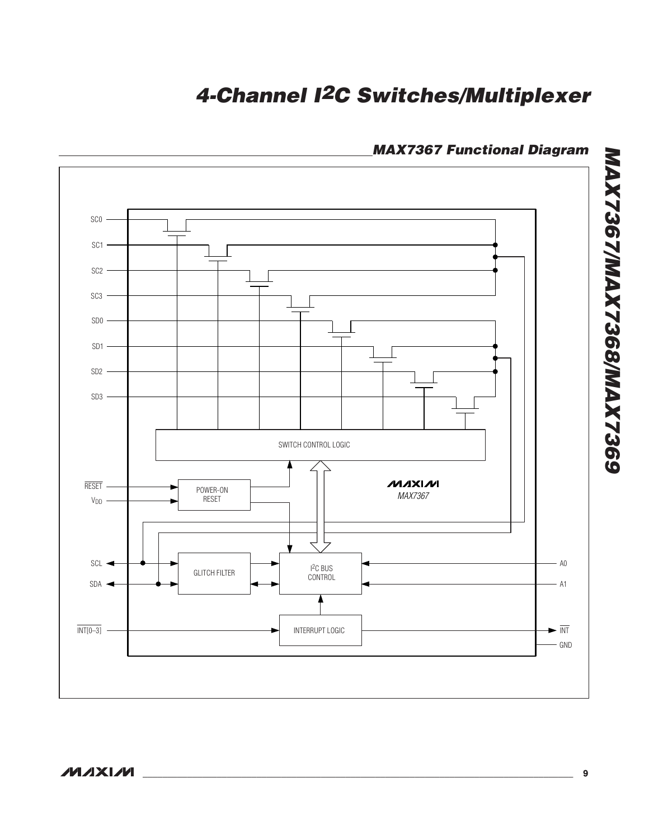

### **MAX7367 Functional Diagram**

**MAX7367/MAX7368/MAX7369**

**MAX7367/MAX7368/MAX7369**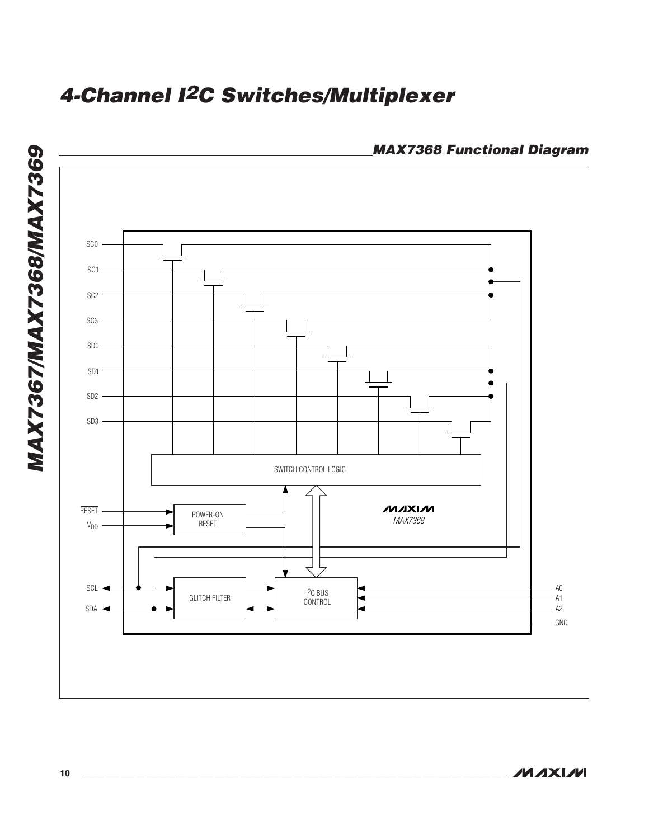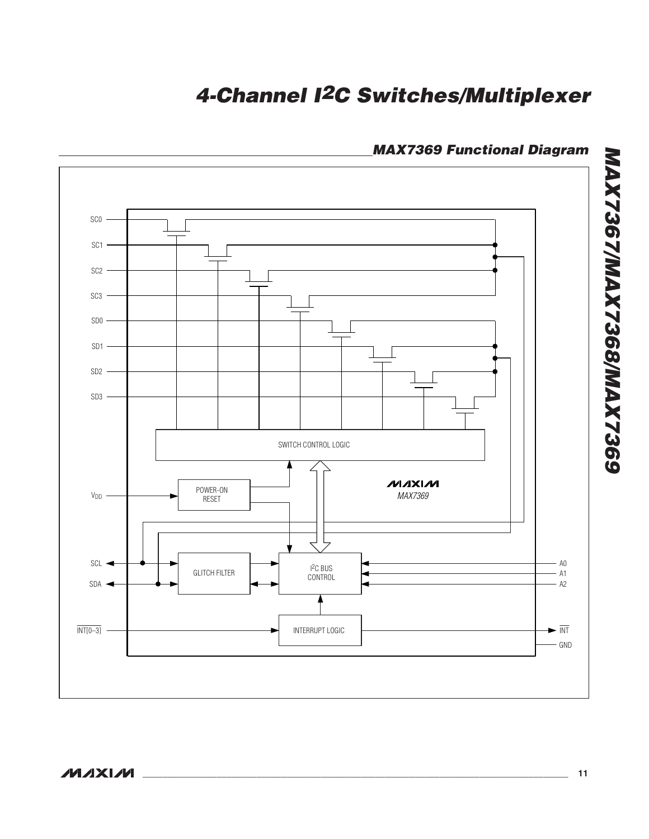

## **MAX7369 Functional Diagram**

**MAXIM** 

**MAX7367/MAX7368/MAX7369**

**MAX7367/MAX7368/MAX7369**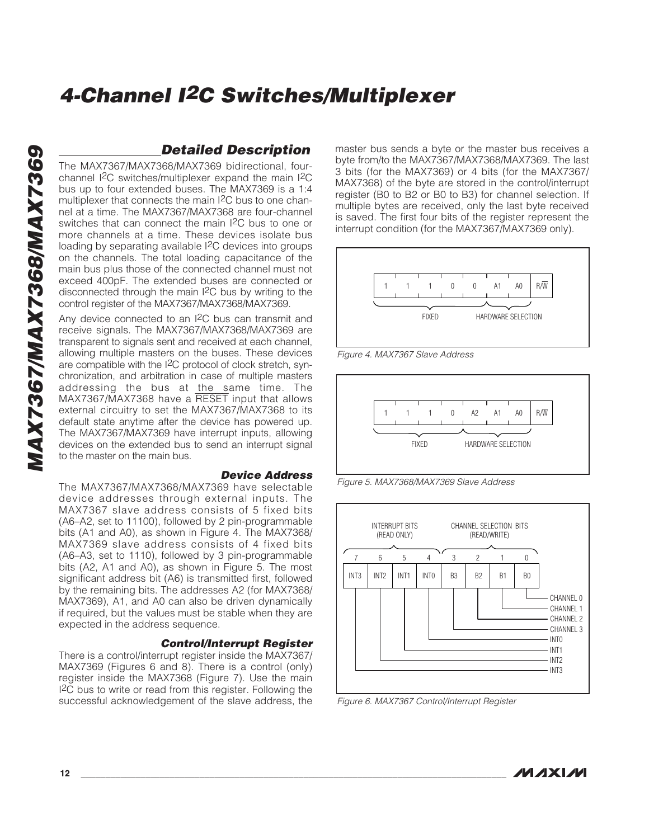### **Detailed Description**

The MAX7367/MAX7368/MAX7369 bidirectional, fourchannel I2C switches/multiplexer expand the main I2C bus up to four extended buses. The MAX7369 is a 1:4 multiplexer that connects the main I<sup>2</sup>C bus to one channel at a time. The MAX7367/MAX7368 are four-channel switches that can connect the main I 2C bus to one or more channels at a time. These devices isolate bus loading by separating available I 2C devices into groups on the channels. The total loading capacitance of the main bus plus those of the connected channel must not exceed 400pF. The extended buses are connected or disconnected through the main I 2C bus by writing to the control register of the MAX7367/MAX7368/MAX7369.

Any device connected to an I 2C bus can transmit and receive signals. The MAX7367/MAX7368/MAX7369 are transparent to signals sent and received at each channel, allowing multiple masters on the buses. These devices are compatible with the I 2C protocol of clock stretch, synchronization, and arbitration in case of multiple masters addressing the bus at the same time. The MAX7367/MAX7368 have a RESET input that allows external circuitry to set the MAX7367/MAX7368 to its default state anytime after the device has powered up. The MAX7367/MAX7369 have interrupt inputs, allowing devices on the extended bus to send an interrupt signal to the master on the main bus.

#### **Device Address**

The MAX7367/MAX7368/MAX7369 have selectable device addresses through external inputs. The MAX7367 slave address consists of 5 fixed bits (A6–A2, set to 11100), followed by 2 pin-programmable bits (A1 and A0), as shown in Figure 4. The MAX7368/ MAX7369 slave address consists of 4 fixed bits (A6–A3, set to 1110), followed by 3 pin-programmable bits (A2, A1 and A0), as shown in Figure 5. The most significant address bit (A6) is transmitted first, followed by the remaining bits. The addresses A2 (for MAX7368/ MAX7369), A1, and A0 can also be driven dynamically if required, but the values must be stable when they are expected in the address sequence.

#### **Control/Interrupt Register**

There is a control/interrupt register inside the MAX7367/ MAX7369 (Figures 6 and 8). There is a control (only) register inside the MAX7368 (Figure 7). Use the main I2C bus to write or read from this register. Following the successful acknowledgement of the slave address, the master bus sends a byte or the master bus receives a byte from/to the MAX7367/MAX7368/MAX7369. The last 3 bits (for the MAX7369) or 4 bits (for the MAX7367/ MAX7368) of the byte are stored in the control/interrupt register (B0 to B2 or B0 to B3) for channel selection. If multiple bytes are received, only the last byte received is saved. The first four bits of the register represent the interrupt condition (for the MAX7367/MAX7369 only).



Figure 4. MAX7367 Slave Address



Figure 5. MAX7368/MAX7369 Slave Address



Figure 6. MAX7367 Control/Interrupt Register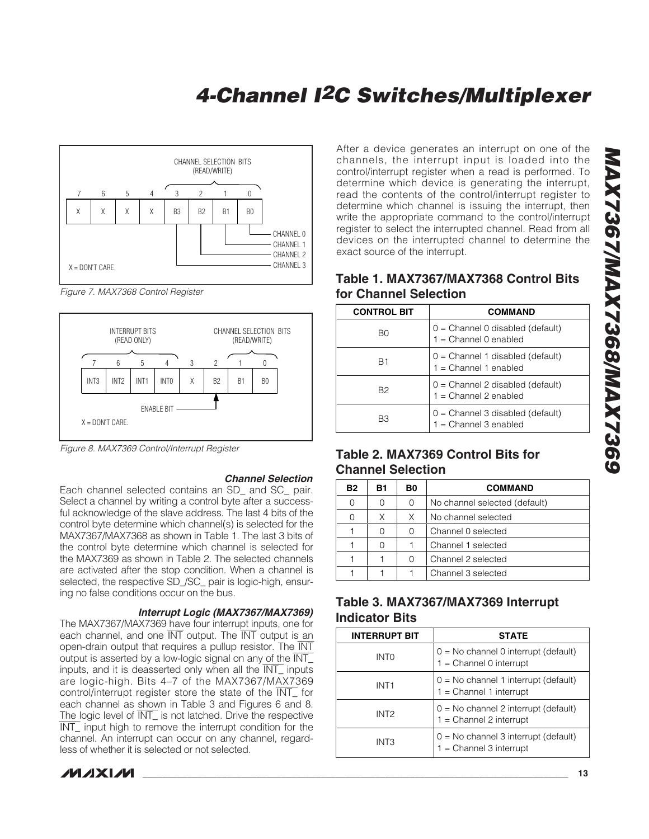

Figure 7. MAX7368 Control Register



Figure 8. MAX7369 Control/Interrupt Register

#### **Channel Selection**

Each channel selected contains an SD and SC pair. Select a channel by writing a control byte after a successful acknowledge of the slave address. The last 4 bits of the control byte determine which channel(s) is selected for the MAX7367/MAX7368 as shown in Table 1. The last 3 bits of the control byte determine which channel is selected for the MAX7369 as shown in Table 2. The selected channels are activated after the stop condition. When a channel is selected, the respective SD\_/SC\_ pair is logic-high, ensuring no false conditions occur on the bus.

#### **Interrupt Logic (MAX7367/MAX7369)**

The MAX7367/MAX7369 have four interrupt inputs, one for each channel, and one INT output. The INT output is an open-drain output that requires a pullup resistor. The INT output is asserted by a low-logic signal on any of the INT\_ inputs, and it is deasserted only when all the INT\_ inputs are logic-high. Bits 4–7 of the MAX7367/MAX7369 control/interrupt register store the state of the INT\_ for each channel as shown in Table 3 and Figures 6 and 8. The logic level of  $\overline{\text{INT}}$  is not latched. Drive the respective INT\_ input high to remove the interrupt condition for the channel. An interrupt can occur on any channel, regardless of whether it is selected or not selected.

**MAXIM** 

After a device generates an interrupt on one of the channels, the interrupt input is loaded into the control/interrupt register when a read is performed. To determine which device is generating the interrupt, read the contents of the control/interrupt register to determine which channel is issuing the interrupt, then write the appropriate command to the control/interrupt register to select the interrupted channel. Read from all devices on the interrupted channel to determine the exact source of the interrupt.

### **Table 1. MAX7367/MAX7368 Control Bits for Channel Selection**

| <b>CONTROL BIT</b> | COMMAND                                                       |
|--------------------|---------------------------------------------------------------|
| B0                 | $0 =$ Channel 0 disabled (default)<br>$1 =$ Channel 0 enabled |
| B1                 | $0 =$ Channel 1 disabled (default)<br>1 = Channel 1 enabled   |
| B2                 | 0 = Channel 2 disabled (default)<br>1 = Channel 2 enabled     |
| B3                 | $0 =$ Channel 3 disabled (default)<br>$1 =$ Channel 3 enabled |

### **Table 2. MAX7369 Control Bits for Channel Selection**

| <b>B2</b> | B1 | B0            | <b>COMMAND</b>                |  |
|-----------|----|---------------|-------------------------------|--|
| 0         |    | $\mathcal{O}$ | No channel selected (default) |  |
| Ω         | Χ  | X             | No channel selected           |  |
|           |    | Ω             | Channel 0 selected            |  |
|           |    |               | Channel 1 selected            |  |
|           |    |               | Channel 2 selected            |  |
|           |    |               | Channel 3 selected            |  |

### **Table 3. MAX7367/MAX7369 Interrupt Indicator Bits**

| <b>INTERRUPT BIT</b> | <b>STATE</b>                                                        |  |
|----------------------|---------------------------------------------------------------------|--|
| INTO                 | 0 = No channel 0 interrupt (default)<br>$1 =$ Channel 0 interrupt   |  |
| INT <sub>1</sub>     | $0 = No channel 1 interrupt (default) 1 = Channel 1 interrupt$      |  |
| INT <sub>2</sub>     | 0 = No channel 2 interrupt (default)<br>1 = Channel 2 interrupt     |  |
| INT3                 | $0 = No$ channel 3 interrupt (default)<br>$1 =$ Channel 3 interrupt |  |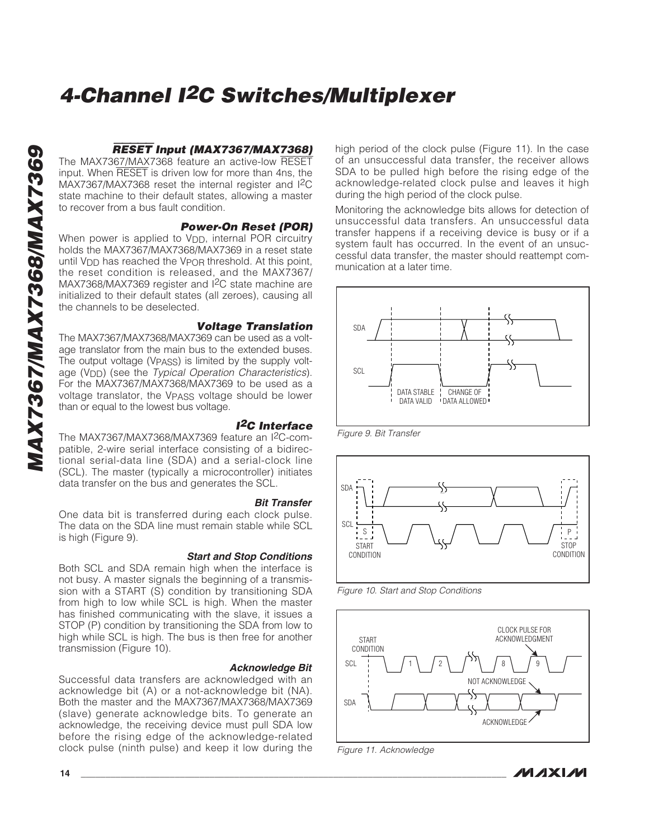### RESET **Input (MAX7367/MAX7368)**

The MAX7367/MAX7368 feature an active-low RESET input. When RESET is driven low for more than 4ns, the MAX7367/MAX7368 reset the internal register and I 2 C state machine to their default states, allowing a master to recover from a bus fault condition.

#### **Power-On Reset (POR)**

When power is applied to V<sub>DD</sub>, internal POR circuitry holds the MAX7367/MAX7368/MAX7369 in a reset state until V<sub>DD</sub> has reached the V<sub>POR</sub> threshold. At this point, the reset condition is released, and the MAX7367/ MAX7368/MAX7369 register and I 2C state machine are initialized to their default states (all zeroes), causing all the channels to be deselected.

#### **Voltage Translation**

The MAX7367/MAX7368/MAX7369 can be used as a voltage translator from the main bus to the extended buses. The output voltage (V<sub>PASS</sub>) is limited by the supply voltage (V<sub>DD</sub>) (see the Typical Operation Characteristics). For the MAX7367/MAX7368/MAX7369 to be used as a voltage translator, the VPASS voltage should be lower than or equal to the lowest bus voltage.

#### **I2C Interface** The MAX7367/MAX7368/MAX7369 feature an I 2C-compatible, 2-wire serial interface consisting of a bidirectional serial-data line (SDA) and a serial-clock line (SCL). The master (typically a microcontroller) initiates data transfer on the bus and generates the SCL.

#### **Bit Transfer**

One data bit is transferred during each clock pulse. The data on the SDA line must remain stable while SCL is high (Figure 9).

#### **Start and Stop Conditions**

Both SCL and SDA remain high when the interface is not busy. A master signals the beginning of a transmission with a START (S) condition by transitioning SDA from high to low while SCL is high. When the master has finished communicating with the slave, it issues a STOP (P) condition by transitioning the SDA from low to high while SCL is high. The bus is then free for another transmission (Figure 10).

#### **Acknowledge Bit**

Successful data transfers are acknowledged with an acknowledge bit (A) or a not-acknowledge bit (NA). Both the master and the MAX7367/MAX7368/MAX7369 (slave) generate acknowledge bits. To generate an acknowledge, the receiving device must pull SDA low before the rising edge of the acknowledge-related clock pulse (ninth pulse) and keep it low during the high period of the clock pulse (Figure 11). In the case of an unsuccessful data transfer, the receiver allows SDA to be pulled high before the rising edge of the acknowledge-related clock pulse and leaves it high during the high period of the clock pulse.

Monitoring the acknowledge bits allows for detection of unsuccessful data transfers. An unsuccessful data transfer happens if a receiving device is busy or if a system fault has occurred. In the event of an unsuccessful data transfer, the master should reattempt communication at a later time.



Figure 9. Bit Transfer



Figure 10. Start and Stop Conditions



Figure 11. Acknowledge

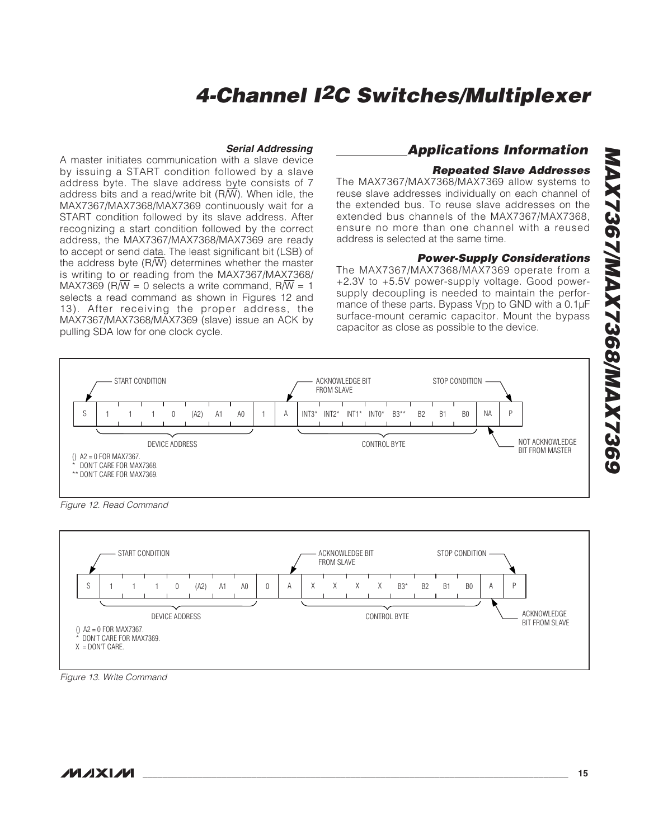#### **Serial Addressing**

A master initiates communication with a slave device by issuing a START condition followed by a slave address byte. The slave address byte consists of 7 address bits and a read/write bit  $(R/\overline{W})$ . When idle, the MAX7367/MAX7368/MAX7369 continuously wait for a START condition followed by its slave address. After recognizing a start condition followed by the correct address, the MAX7367/MAX7368/MAX7369 are ready to accept or send data. The least significant bit (LSB) of the address byte  $(R/\overline{W})$  determines whether the master is writing to or reading from the MAX7367/MAX7368/ MAX7369 (R $\overline{W}$  = 0 selects a write command, R $\overline{W}$  = 1 selects a read command as shown in Figures 12 and 13). After receiving the proper address, the MAX7367/MAX7368/MAX7369 (slave) issue an ACK by pulling SDA low for one clock cycle.

### **Applications Information**

#### **Repeated Slave Addresses**

The MAX7367/MAX7368/MAX7369 allow systems to reuse slave addresses individually on each channel of the extended bus. To reuse slave addresses on the extended bus channels of the MAX7367/MAX7368, ensure no more than one channel with a reused address is selected at the same time.

#### **Power-Supply Considerations**

The MAX7367/MAX7368/MAX7369 operate from a +2.3V to +5.5V power-supply voltage. Good powersupply decoupling is needed to maintain the performance of these parts. Bypass  $V_{\text{DD}}$  to GND with a 0.1 $\mu$ F surface-mount ceramic capacitor. Mount the bypass capacitor as close as possible to the device.



Figure 12. Read Command



Figure 13. Write Command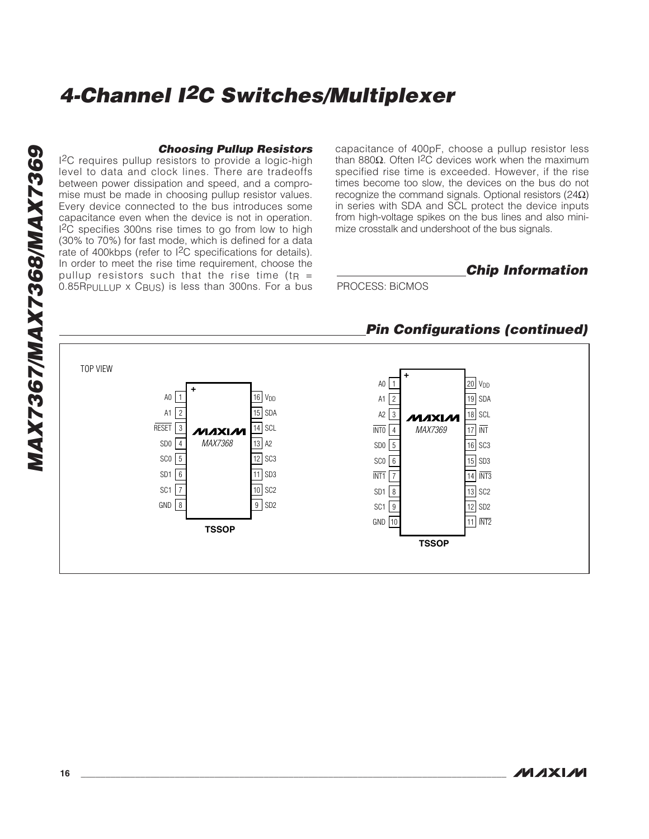### **Choosing Pullup Resistors**

I 2C requires pullup resistors to provide a logic-high level to data and clock lines. There are tradeoffs between power dissipation and speed, and a compromise must be made in choosing pullup resistor values. Every device connected to the bus introduces some capacitance even when the device is not in operation. 1<sup>2</sup>C specifies 300ns rise times to go from low to high (30% to 70%) for fast mode, which is defined for a data rate of 400kbps (refer to <sup>2</sup>C specifications for details). In order to meet the rise time requirement, choose the pullup resistors such that the rise time (t R = 0.85RPULLUP x CBUS) is less than 300ns. For a bus

capacitance of 400pF, choose a pullup resistor less than 880Ω. Often I<sup>2</sup>C devices work when the maximum specified rise time is exceeded. However, if the rise times become too slow, the devices on the bus do not recognize the command signals. Optional resistors (24 $\Omega$ ) in series with SDA and SCL protect the device inputs from high-voltage spikes on the bus lines and also minimize crosstalk and undershoot of the bus signals.

**Chip Information**

PROCESS: BiCMOS



### **Pin Configurations (continued)**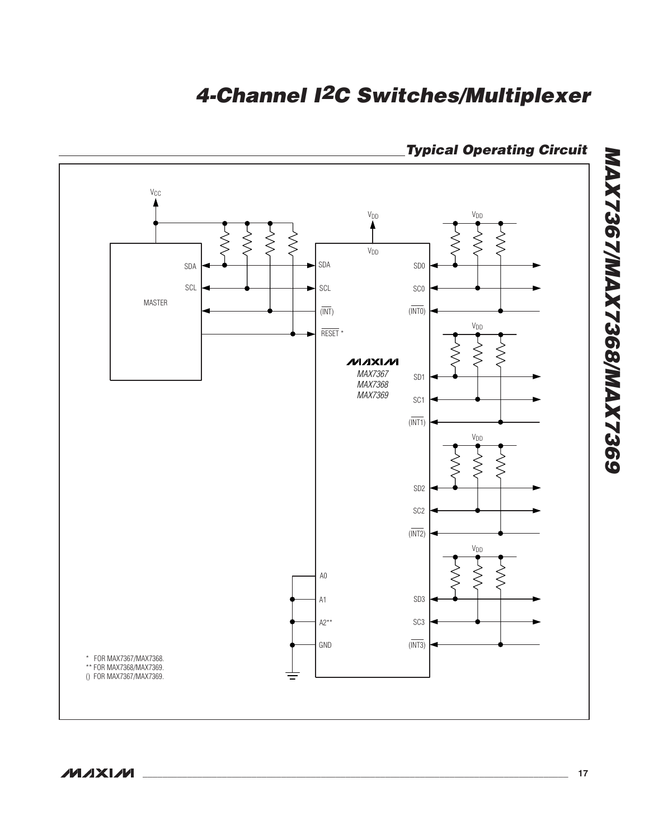

## **Typical Operating Circuit**

**MAXIM** 

**MAX7367/MAX7368/MAX7369**

**MAX7367/MAX7368/MAX7369**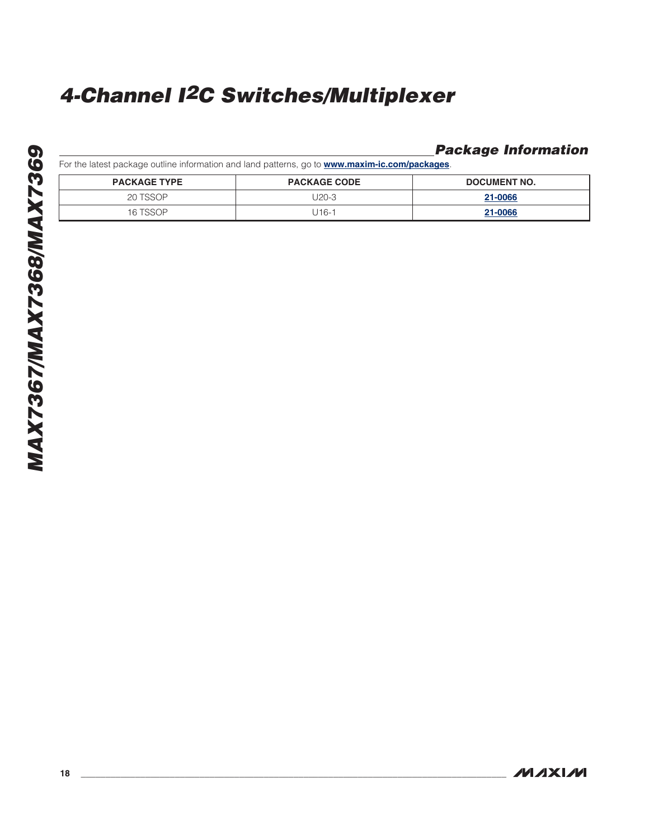### **Package Information**

For the latest package outline information and land patterns, go to **www.maxim-ic.com/packages** .

| <b>PACKAGE TYPE</b> | <b>PACKAGE CODE</b> | <b>DOCUMENT NO.</b> |
|---------------------|---------------------|---------------------|
| 20 TSSOP            | J20-3               | 21-0066             |
| 16 TSSOP            | J16-1               | 21-0066             |